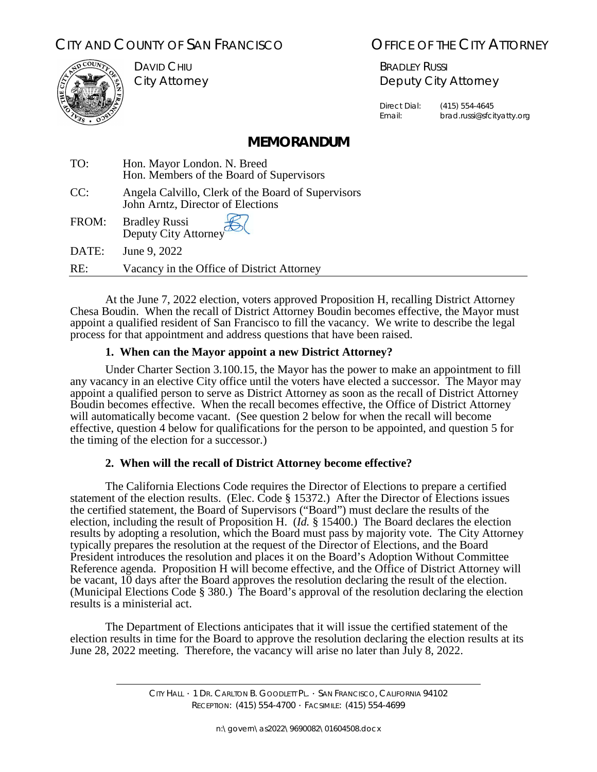# CITY AND COUNTY OF SAN FRANCISCO **COUNTY OF SAN FRANCISCO** OF THE CITY ATTORNEY



DAVID CHIU City Attorney

BRADLEY RUSSI Deputy City Attorney

Direct Dial: (415) 554-4645 Email: brad.russi@sfcityatty.org

## **MEMORANDUM**

| TO:   | Hon. Mayor London. N. Breed<br>Hon. Members of the Board of Supervisors                 |
|-------|-----------------------------------------------------------------------------------------|
| CC:   | Angela Calvillo, Clerk of the Board of Supervisors<br>John Arntz, Director of Elections |
| FROM: | Bradley Russi<br>Deputy City Attorney                                                   |
| DATE: | June 9, 2022                                                                            |
| RE:   | Vacancy in the Office of District Attorney                                              |

At the June 7, 2022 election, voters approved Proposition H, recalling District Attorney Chesa Boudin. When the recall of District Attorney Boudin becomes effective, the Mayor must appoint a qualified resident of San Francisco to fill the vacancy. We write to describe the legal process for that appointment and address questions that have been raised.

### **1. When can the Mayor appoint a new District Attorney?**

Under Charter Section 3.100.15, the Mayor has the power to make an appointment to fill any vacancy in an elective City office until the voters have elected a successor. The Mayor may appoint a qualified person to serve as District Attorney as soon as the recall of District Attorney Boudin becomes effective. When the recall becomes effective, the Office of District Attorney will automatically become vacant. (See question 2 below for when the recall will become effective, question 4 below for qualifications for the person to be appointed, and question 5 for the timing of the election for a successor.)

#### **2. When will the recall of District Attorney become effective?**

The California Elections Code requires the Director of Elections to prepare a certified statement of the election results. (Elec. Code § 15372.) After the Director of Elections issues the certified statement, the Board of Supervisors ("Board") must declare the results of the election, including the result of Proposition H. (*Id.* § 15400.) The Board declares the election results by adopting a resolution, which the Board must pass by majority vote. The City Attorney typically prepares the resolution at the request of the Director of Elections, and the Board President introduces the resolution and places it on the Board's Adoption Without Committee Reference agenda. Proposition H will become effective, and the Office of District Attorney will be vacant, 10 days after the Board approves the resolution declaring the result of the election. (Municipal Elections Code § 380.) The Board's approval of the resolution declaring the election results is a ministerial act.

The Department of Elections anticipates that it will issue the certified statement of the election results in time for the Board to approve the resolution declaring the election results at its June 28, 2022 meeting. Therefore, the vacancy will arise no later than July 8, 2022.

> CITY HALL ∙ 1 DR. CARLTON B. GOODLETT PL. ∙ SAN FRANCISCO, CALIFORNIA 94102 RECEPTION: (415) 554-4700 ∙ FACSIMILE: (415) 554-4699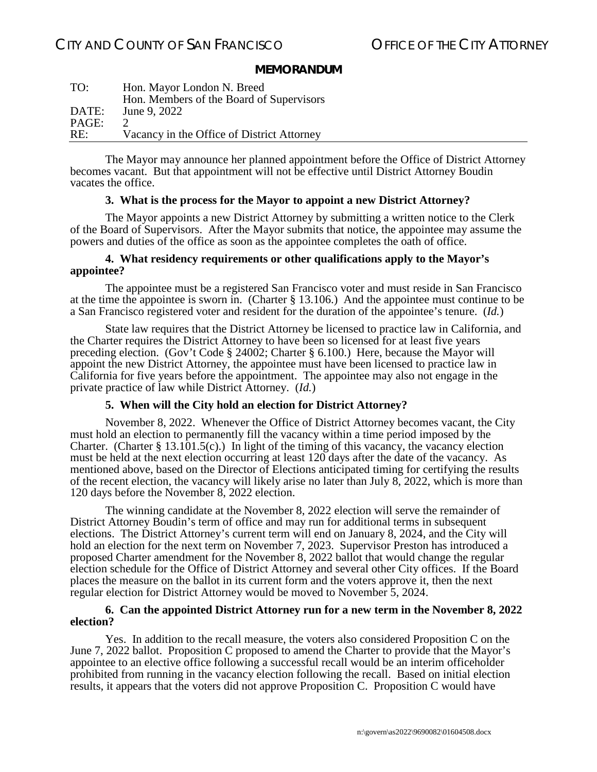#### **MEMORANDUM**

| TO:   | Hon. Mayor London N. Breed                 |
|-------|--------------------------------------------|
|       | Hon. Members of the Board of Supervisors   |
| DATE: | June 9, 2022                               |
| PAGE: |                                            |
| RE:   | Vacancy in the Office of District Attorney |

The Mayor may announce her planned appointment before the Office of District Attorney becomes vacant. But that appointment will not be effective until District Attorney Boudin vacates the office.

#### **3. What is the process for the Mayor to appoint a new District Attorney?**

The Mayor appoints a new District Attorney by submitting a written notice to the Clerk of the Board of Supervisors. After the Mayor submits that notice, the appointee may assume the powers and duties of the office as soon as the appointee completes the oath of office.

#### **4. What residency requirements or other qualifications apply to the Mayor's appointee?**

The appointee must be a registered San Francisco voter and must reside in San Francisco at the time the appointee is sworn in. (Charter § 13.106.) And the appointee must continue to be a San Francisco registered voter and resident for the duration of the appointee's tenure. (*Id.*)

State law requires that the District Attorney be licensed to practice law in California, and the Charter requires the District Attorney to have been so licensed for at least five years preceding election. (Gov't Code § 24002; Charter § 6.100.) Here, because the Mayor will appoint the new District Attorney, the appointee must have been licensed to practice law in California for five years before the appointment. The appointee may also not engage in the private practice of law while District Attorney. (*Id.*)

#### **5. When will the City hold an election for District Attorney?**

November 8, 2022. Whenever the Office of District Attorney becomes vacant, the City must hold an election to permanently fill the vacancy within a time period imposed by the Charter. (Charter § 13.101.5(c).) In light of the timing of this vacancy, the vacancy election must be held at the next election occurring at least 120 days after the date of the vacancy. As mentioned above, based on the Director of Elections anticipated timing for certifying the results of the recent election, the vacancy will likely arise no later than July 8, 2022, which is more than 120 days before the November 8, 2022 election.

The winning candidate at the November 8, 2022 election will serve the remainder of District Attorney Boudin's term of office and may run for additional terms in subsequent elections. The District Attorney's current term will end on January 8, 2024, and the City will hold an election for the next term on November 7, 2023. Supervisor Preston has introduced a proposed Charter amendment for the November 8, 2022 ballot that would change the regular election schedule for the Office of District Attorney and several other City offices. If the Board places the measure on the ballot in its current form and the voters approve it, then the next regular election for District Attorney would be moved to November 5, 2024.

#### **6. Can the appointed District Attorney run for a new term in the November 8, 2022 election?**

Yes. In addition to the recall measure, the voters also considered Proposition C on the June 7, 2022 ballot. Proposition C proposed to amend the Charter to provide that the Mayor's appointee to an elective office following a successful recall would be an interim officeholder prohibited from running in the vacancy election following the recall. Based on initial election results, it appears that the voters did not approve Proposition C. Proposition C would have